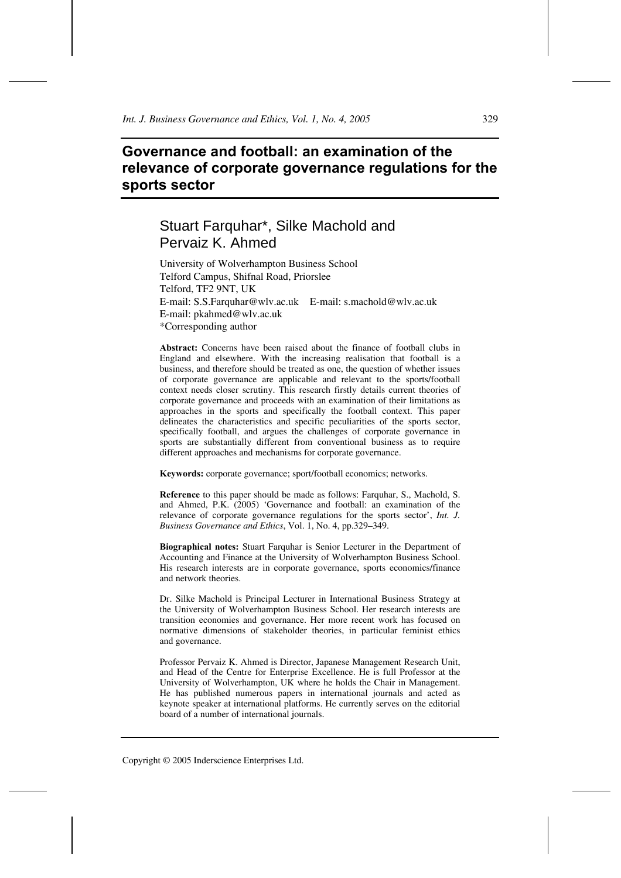# **Governance and football: an examination of the relevance of corporate governance regulations for the sports sector**

# Stuart Farquhar\*, Silke Machold and Pervaiz K. Ahmed

University of Wolverhampton Business School Telford Campus, Shifnal Road, Priorslee Telford, TF2 9NT, UK E-mail: S.S.Farquhar@wlv.ac.uk E-mail: s.machold@wlv.ac.uk E-mail: pkahmed@wlv.ac.uk \*Corresponding author

**Abstract:** Concerns have been raised about the finance of football clubs in England and elsewhere. With the increasing realisation that football is a business, and therefore should be treated as one, the question of whether issues of corporate governance are applicable and relevant to the sports/football context needs closer scrutiny. This research firstly details current theories of corporate governance and proceeds with an examination of their limitations as approaches in the sports and specifically the football context. This paper delineates the characteristics and specific peculiarities of the sports sector, specifically football, and argues the challenges of corporate governance in sports are substantially different from conventional business as to require different approaches and mechanisms for corporate governance.

**Keywords:** corporate governance; sport/football economics; networks.

**Reference** to this paper should be made as follows: Farquhar, S., Machold, S. and Ahmed, P.K. (2005) 'Governance and football: an examination of the relevance of corporate governance regulations for the sports sector', *Int. J. Business Governance and Ethics*, Vol. 1, No. 4, pp.329–349.

**Biographical notes:** Stuart Farquhar is Senior Lecturer in the Department of Accounting and Finance at the University of Wolverhampton Business School. His research interests are in corporate governance, sports economics/finance and network theories.

Dr. Silke Machold is Principal Lecturer in International Business Strategy at the University of Wolverhampton Business School. Her research interests are transition economies and governance. Her more recent work has focused on normative dimensions of stakeholder theories, in particular feminist ethics and governance.

Professor Pervaiz K. Ahmed is Director, Japanese Management Research Unit, and Head of the Centre for Enterprise Excellence. He is full Professor at the University of Wolverhampton, UK where he holds the Chair in Management. He has published numerous papers in international journals and acted as keynote speaker at international platforms. He currently serves on the editorial board of a number of international journals.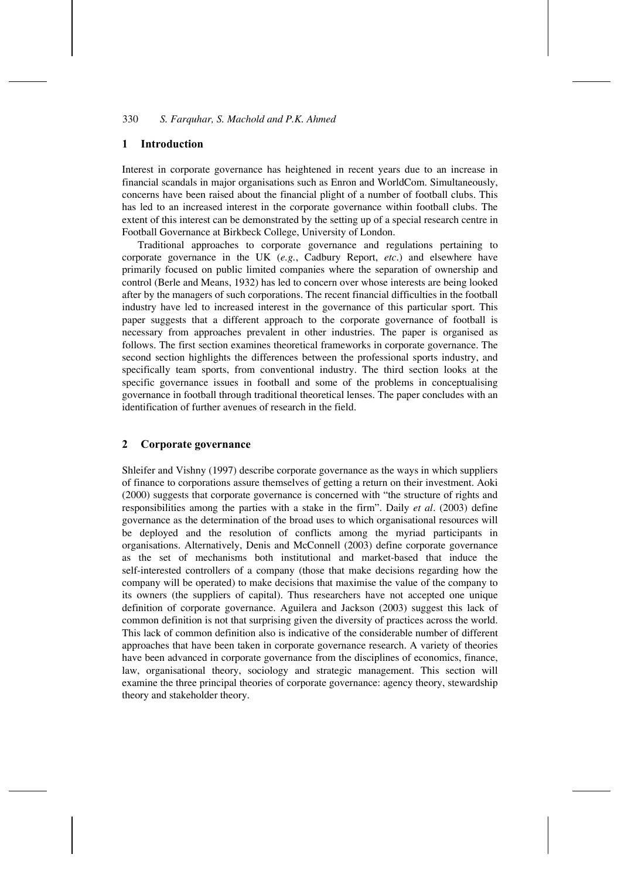### **1 Introduction**

Interest in corporate governance has heightened in recent years due to an increase in financial scandals in major organisations such as Enron and WorldCom. Simultaneously, concerns have been raised about the financial plight of a number of football clubs. This has led to an increased interest in the corporate governance within football clubs. The extent of this interest can be demonstrated by the setting up of a special research centre in Football Governance at Birkbeck College, University of London.

Traditional approaches to corporate governance and regulations pertaining to corporate governance in the UK (*e.g.*, Cadbury Report, *etc*.) and elsewhere have primarily focused on public limited companies where the separation of ownership and control (Berle and Means, 1932) has led to concern over whose interests are being looked after by the managers of such corporations. The recent financial difficulties in the football industry have led to increased interest in the governance of this particular sport. This paper suggests that a different approach to the corporate governance of football is necessary from approaches prevalent in other industries. The paper is organised as follows. The first section examines theoretical frameworks in corporate governance. The second section highlights the differences between the professional sports industry, and specifically team sports, from conventional industry. The third section looks at the specific governance issues in football and some of the problems in conceptualising governance in football through traditional theoretical lenses. The paper concludes with an identification of further avenues of research in the field.

### **2 Corporate governance**

Shleifer and Vishny (1997) describe corporate governance as the ways in which suppliers of finance to corporations assure themselves of getting a return on their investment. Aoki (2000) suggests that corporate governance is concerned with "the structure of rights and responsibilities among the parties with a stake in the firm". Daily *et al*. (2003) define governance as the determination of the broad uses to which organisational resources will be deployed and the resolution of conflicts among the myriad participants in organisations. Alternatively, Denis and McConnell (2003) define corporate governance as the set of mechanisms both institutional and market-based that induce the self-interested controllers of a company (those that make decisions regarding how the company will be operated) to make decisions that maximise the value of the company to its owners (the suppliers of capital). Thus researchers have not accepted one unique definition of corporate governance. Aguilera and Jackson (2003) suggest this lack of common definition is not that surprising given the diversity of practices across the world. This lack of common definition also is indicative of the considerable number of different approaches that have been taken in corporate governance research. A variety of theories have been advanced in corporate governance from the disciplines of economics, finance, law, organisational theory, sociology and strategic management. This section will examine the three principal theories of corporate governance: agency theory, stewardship theory and stakeholder theory.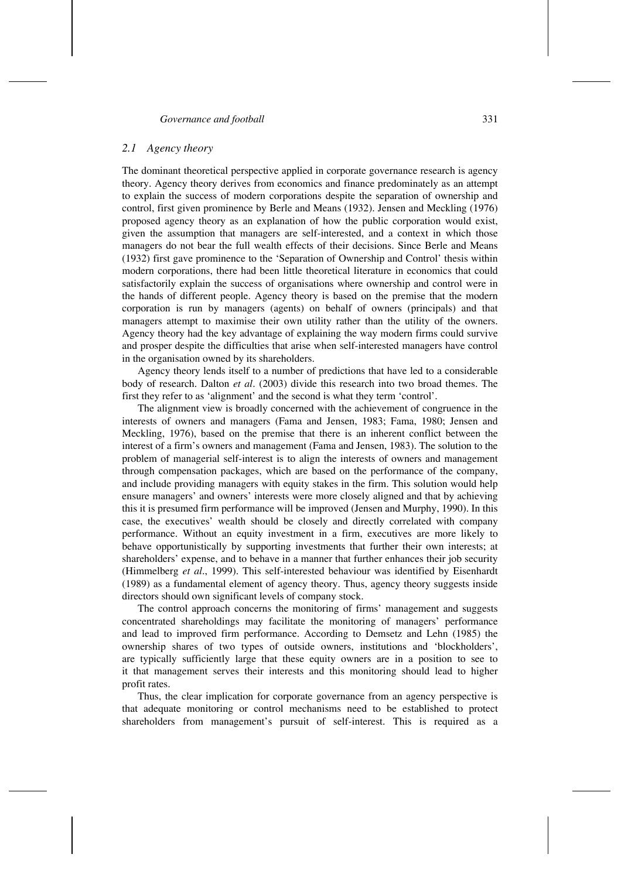### *2.1 Agency theory*

The dominant theoretical perspective applied in corporate governance research is agency theory. Agency theory derives from economics and finance predominately as an attempt to explain the success of modern corporations despite the separation of ownership and control, first given prominence by Berle and Means (1932). Jensen and Meckling (1976) proposed agency theory as an explanation of how the public corporation would exist, given the assumption that managers are self-interested, and a context in which those managers do not bear the full wealth effects of their decisions. Since Berle and Means (1932) first gave prominence to the 'Separation of Ownership and Control' thesis within modern corporations, there had been little theoretical literature in economics that could satisfactorily explain the success of organisations where ownership and control were in the hands of different people. Agency theory is based on the premise that the modern corporation is run by managers (agents) on behalf of owners (principals) and that managers attempt to maximise their own utility rather than the utility of the owners. Agency theory had the key advantage of explaining the way modern firms could survive and prosper despite the difficulties that arise when self-interested managers have control in the organisation owned by its shareholders.

Agency theory lends itself to a number of predictions that have led to a considerable body of research. Dalton *et al*. (2003) divide this research into two broad themes. The first they refer to as 'alignment' and the second is what they term 'control'.

The alignment view is broadly concerned with the achievement of congruence in the interests of owners and managers (Fama and Jensen, 1983; Fama, 1980; Jensen and Meckling, 1976), based on the premise that there is an inherent conflict between the interest of a firm's owners and management (Fama and Jensen, 1983). The solution to the problem of managerial self-interest is to align the interests of owners and management through compensation packages, which are based on the performance of the company, and include providing managers with equity stakes in the firm. This solution would help ensure managers' and owners' interests were more closely aligned and that by achieving this it is presumed firm performance will be improved (Jensen and Murphy, 1990). In this case, the executives' wealth should be closely and directly correlated with company performance. Without an equity investment in a firm, executives are more likely to behave opportunistically by supporting investments that further their own interests; at shareholders' expense, and to behave in a manner that further enhances their job security (Himmelberg *et al*., 1999). This self-interested behaviour was identified by Eisenhardt (1989) as a fundamental element of agency theory. Thus, agency theory suggests inside directors should own significant levels of company stock.

The control approach concerns the monitoring of firms' management and suggests concentrated shareholdings may facilitate the monitoring of managers' performance and lead to improved firm performance. According to Demsetz and Lehn (1985) the ownership shares of two types of outside owners, institutions and 'blockholders', are typically sufficiently large that these equity owners are in a position to see to it that management serves their interests and this monitoring should lead to higher profit rates.

Thus, the clear implication for corporate governance from an agency perspective is that adequate monitoring or control mechanisms need to be established to protect shareholders from management's pursuit of self-interest. This is required as a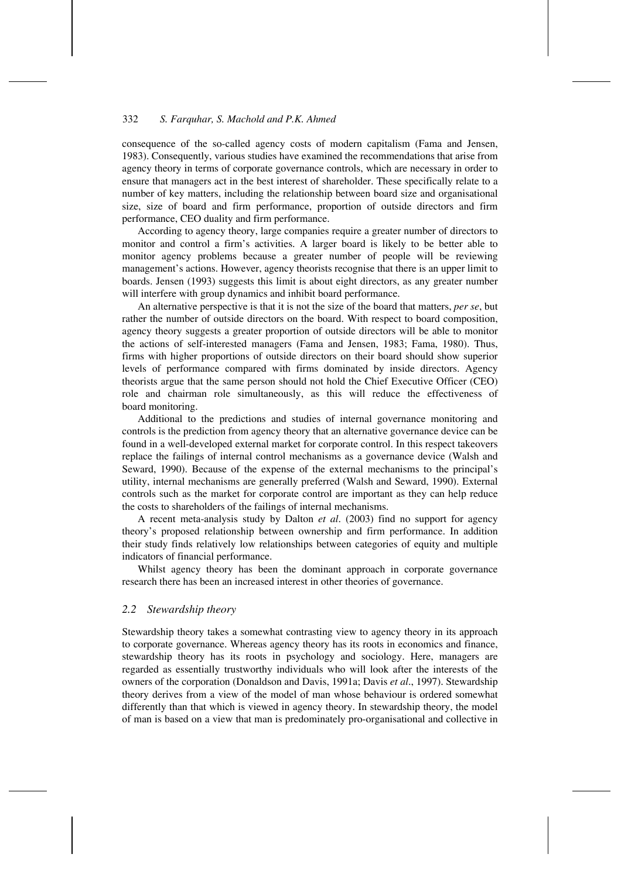consequence of the so-called agency costs of modern capitalism (Fama and Jensen, 1983). Consequently, various studies have examined the recommendations that arise from agency theory in terms of corporate governance controls, which are necessary in order to ensure that managers act in the best interest of shareholder. These specifically relate to a number of key matters, including the relationship between board size and organisational size, size of board and firm performance, proportion of outside directors and firm performance, CEO duality and firm performance.

According to agency theory, large companies require a greater number of directors to monitor and control a firm's activities. A larger board is likely to be better able to monitor agency problems because a greater number of people will be reviewing management's actions. However, agency theorists recognise that there is an upper limit to boards. Jensen (1993) suggests this limit is about eight directors, as any greater number will interfere with group dynamics and inhibit board performance.

An alternative perspective is that it is not the size of the board that matters, *per se*, but rather the number of outside directors on the board. With respect to board composition, agency theory suggests a greater proportion of outside directors will be able to monitor the actions of self-interested managers (Fama and Jensen, 1983; Fama, 1980). Thus, firms with higher proportions of outside directors on their board should show superior levels of performance compared with firms dominated by inside directors. Agency theorists argue that the same person should not hold the Chief Executive Officer (CEO) role and chairman role simultaneously, as this will reduce the effectiveness of board monitoring.

Additional to the predictions and studies of internal governance monitoring and controls is the prediction from agency theory that an alternative governance device can be found in a well-developed external market for corporate control. In this respect takeovers replace the failings of internal control mechanisms as a governance device (Walsh and Seward, 1990). Because of the expense of the external mechanisms to the principal's utility, internal mechanisms are generally preferred (Walsh and Seward, 1990). External controls such as the market for corporate control are important as they can help reduce the costs to shareholders of the failings of internal mechanisms.

A recent meta-analysis study by Dalton *et al*. (2003) find no support for agency theory's proposed relationship between ownership and firm performance. In addition their study finds relatively low relationships between categories of equity and multiple indicators of financial performance.

Whilst agency theory has been the dominant approach in corporate governance research there has been an increased interest in other theories of governance.

# *2.2 Stewardship theory*

Stewardship theory takes a somewhat contrasting view to agency theory in its approach to corporate governance. Whereas agency theory has its roots in economics and finance, stewardship theory has its roots in psychology and sociology. Here, managers are regarded as essentially trustworthy individuals who will look after the interests of the owners of the corporation (Donaldson and Davis, 1991a; Davis *et al*., 1997). Stewardship theory derives from a view of the model of man whose behaviour is ordered somewhat differently than that which is viewed in agency theory. In stewardship theory, the model of man is based on a view that man is predominately pro-organisational and collective in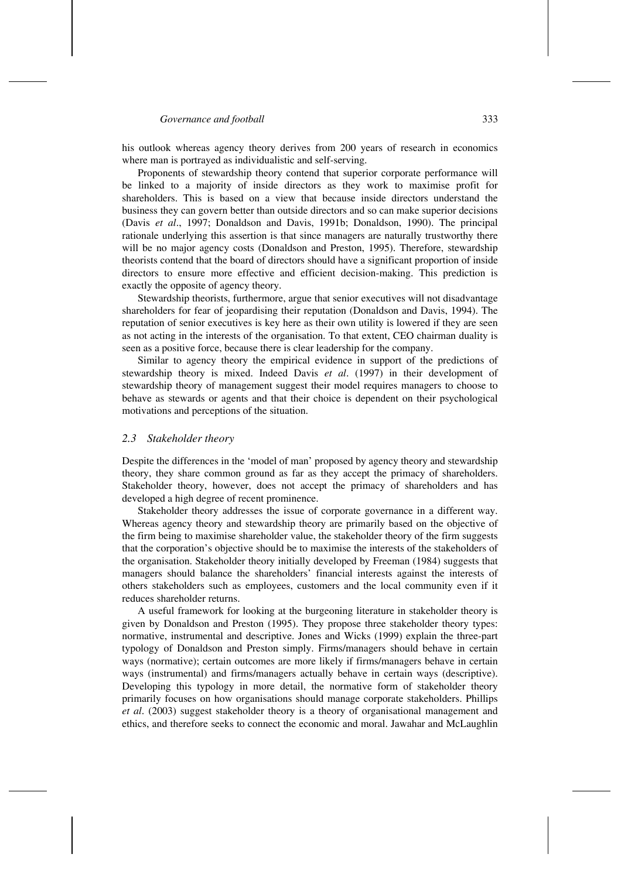his outlook whereas agency theory derives from 200 years of research in economics where man is portrayed as individualistic and self-serving.

Proponents of stewardship theory contend that superior corporate performance will be linked to a majority of inside directors as they work to maximise profit for shareholders. This is based on a view that because inside directors understand the business they can govern better than outside directors and so can make superior decisions (Davis *et al*., 1997; Donaldson and Davis, 1991b; Donaldson, 1990). The principal rationale underlying this assertion is that since managers are naturally trustworthy there will be no major agency costs (Donaldson and Preston, 1995). Therefore, stewardship theorists contend that the board of directors should have a significant proportion of inside directors to ensure more effective and efficient decision-making. This prediction is exactly the opposite of agency theory.

Stewardship theorists, furthermore, argue that senior executives will not disadvantage shareholders for fear of jeopardising their reputation (Donaldson and Davis, 1994). The reputation of senior executives is key here as their own utility is lowered if they are seen as not acting in the interests of the organisation. To that extent, CEO chairman duality is seen as a positive force, because there is clear leadership for the company.

Similar to agency theory the empirical evidence in support of the predictions of stewardship theory is mixed. Indeed Davis *et al*. (1997) in their development of stewardship theory of management suggest their model requires managers to choose to behave as stewards or agents and that their choice is dependent on their psychological motivations and perceptions of the situation.

### *2.3 Stakeholder theory*

Despite the differences in the 'model of man' proposed by agency theory and stewardship theory, they share common ground as far as they accept the primacy of shareholders. Stakeholder theory, however, does not accept the primacy of shareholders and has developed a high degree of recent prominence.

Stakeholder theory addresses the issue of corporate governance in a different way. Whereas agency theory and stewardship theory are primarily based on the objective of the firm being to maximise shareholder value, the stakeholder theory of the firm suggests that the corporation's objective should be to maximise the interests of the stakeholders of the organisation. Stakeholder theory initially developed by Freeman (1984) suggests that managers should balance the shareholders' financial interests against the interests of others stakeholders such as employees, customers and the local community even if it reduces shareholder returns.

A useful framework for looking at the burgeoning literature in stakeholder theory is given by Donaldson and Preston (1995). They propose three stakeholder theory types: normative, instrumental and descriptive. Jones and Wicks (1999) explain the three-part typology of Donaldson and Preston simply. Firms/managers should behave in certain ways (normative); certain outcomes are more likely if firms/managers behave in certain ways (instrumental) and firms/managers actually behave in certain ways (descriptive). Developing this typology in more detail, the normative form of stakeholder theory primarily focuses on how organisations should manage corporate stakeholders. Phillips *et al*. (2003) suggest stakeholder theory is a theory of organisational management and ethics, and therefore seeks to connect the economic and moral. Jawahar and McLaughlin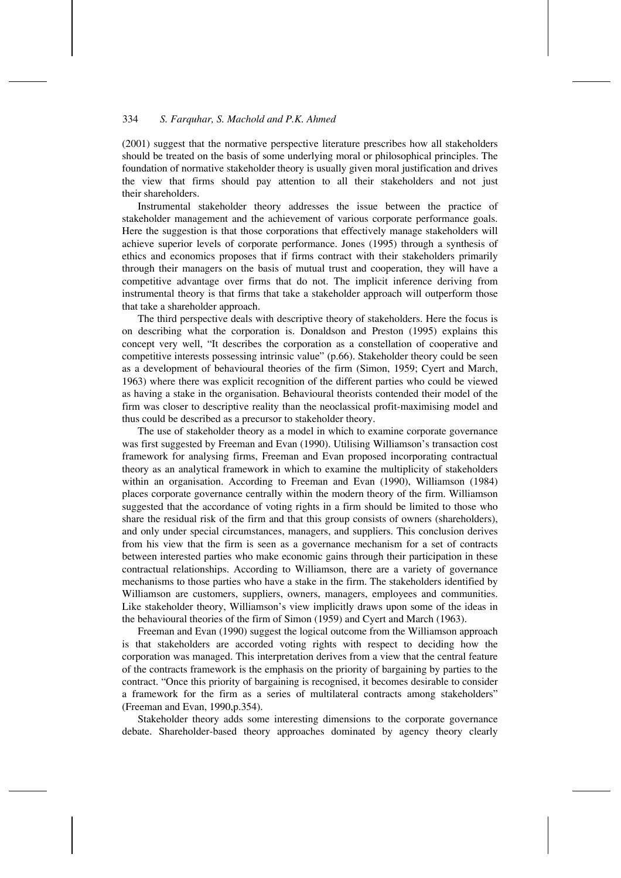(2001) suggest that the normative perspective literature prescribes how all stakeholders should be treated on the basis of some underlying moral or philosophical principles. The foundation of normative stakeholder theory is usually given moral justification and drives the view that firms should pay attention to all their stakeholders and not just their shareholders.

Instrumental stakeholder theory addresses the issue between the practice of stakeholder management and the achievement of various corporate performance goals. Here the suggestion is that those corporations that effectively manage stakeholders will achieve superior levels of corporate performance. Jones (1995) through a synthesis of ethics and economics proposes that if firms contract with their stakeholders primarily through their managers on the basis of mutual trust and cooperation, they will have a competitive advantage over firms that do not. The implicit inference deriving from instrumental theory is that firms that take a stakeholder approach will outperform those that take a shareholder approach.

The third perspective deals with descriptive theory of stakeholders. Here the focus is on describing what the corporation is. Donaldson and Preston (1995) explains this concept very well, "It describes the corporation as a constellation of cooperative and competitive interests possessing intrinsic value" (p.66). Stakeholder theory could be seen as a development of behavioural theories of the firm (Simon, 1959; Cyert and March, 1963) where there was explicit recognition of the different parties who could be viewed as having a stake in the organisation. Behavioural theorists contended their model of the firm was closer to descriptive reality than the neoclassical profit-maximising model and thus could be described as a precursor to stakeholder theory.

The use of stakeholder theory as a model in which to examine corporate governance was first suggested by Freeman and Evan (1990). Utilising Williamson's transaction cost framework for analysing firms, Freeman and Evan proposed incorporating contractual theory as an analytical framework in which to examine the multiplicity of stakeholders within an organisation. According to Freeman and Evan (1990), Williamson (1984) places corporate governance centrally within the modern theory of the firm. Williamson suggested that the accordance of voting rights in a firm should be limited to those who share the residual risk of the firm and that this group consists of owners (shareholders), and only under special circumstances, managers, and suppliers. This conclusion derives from his view that the firm is seen as a governance mechanism for a set of contracts between interested parties who make economic gains through their participation in these contractual relationships. According to Williamson, there are a variety of governance mechanisms to those parties who have a stake in the firm. The stakeholders identified by Williamson are customers, suppliers, owners, managers, employees and communities. Like stakeholder theory, Williamson's view implicitly draws upon some of the ideas in the behavioural theories of the firm of Simon (1959) and Cyert and March (1963).

Freeman and Evan (1990) suggest the logical outcome from the Williamson approach is that stakeholders are accorded voting rights with respect to deciding how the corporation was managed. This interpretation derives from a view that the central feature of the contracts framework is the emphasis on the priority of bargaining by parties to the contract. "Once this priority of bargaining is recognised, it becomes desirable to consider a framework for the firm as a series of multilateral contracts among stakeholders" (Freeman and Evan, 1990,p.354).

Stakeholder theory adds some interesting dimensions to the corporate governance debate. Shareholder-based theory approaches dominated by agency theory clearly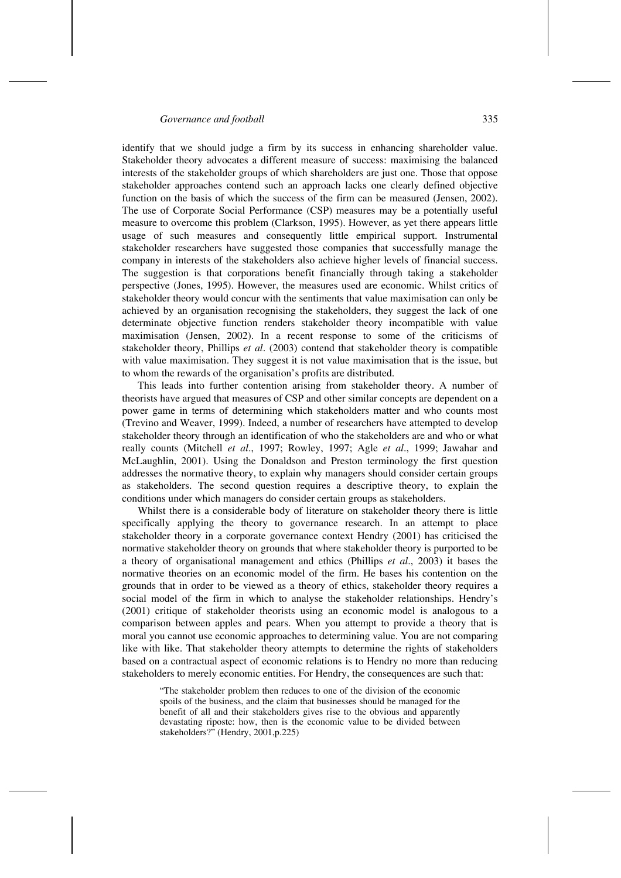identify that we should judge a firm by its success in enhancing shareholder value. Stakeholder theory advocates a different measure of success: maximising the balanced interests of the stakeholder groups of which shareholders are just one. Those that oppose stakeholder approaches contend such an approach lacks one clearly defined objective function on the basis of which the success of the firm can be measured (Jensen, 2002). The use of Corporate Social Performance (CSP) measures may be a potentially useful measure to overcome this problem (Clarkson, 1995). However, as yet there appears little usage of such measures and consequently little empirical support. Instrumental stakeholder researchers have suggested those companies that successfully manage the company in interests of the stakeholders also achieve higher levels of financial success. The suggestion is that corporations benefit financially through taking a stakeholder perspective (Jones, 1995). However, the measures used are economic. Whilst critics of stakeholder theory would concur with the sentiments that value maximisation can only be achieved by an organisation recognising the stakeholders, they suggest the lack of one determinate objective function renders stakeholder theory incompatible with value maximisation (Jensen, 2002). In a recent response to some of the criticisms of stakeholder theory, Phillips *et al*. (2003) contend that stakeholder theory is compatible with value maximisation. They suggest it is not value maximisation that is the issue, but to whom the rewards of the organisation's profits are distributed.

This leads into further contention arising from stakeholder theory. A number of theorists have argued that measures of CSP and other similar concepts are dependent on a power game in terms of determining which stakeholders matter and who counts most (Trevino and Weaver, 1999). Indeed, a number of researchers have attempted to develop stakeholder theory through an identification of who the stakeholders are and who or what really counts (Mitchell *et al*., 1997; Rowley, 1997; Agle *et al*., 1999; Jawahar and McLaughlin, 2001). Using the Donaldson and Preston terminology the first question addresses the normative theory, to explain why managers should consider certain groups as stakeholders. The second question requires a descriptive theory, to explain the conditions under which managers do consider certain groups as stakeholders.

Whilst there is a considerable body of literature on stakeholder theory there is little specifically applying the theory to governance research. In an attempt to place stakeholder theory in a corporate governance context Hendry (2001) has criticised the normative stakeholder theory on grounds that where stakeholder theory is purported to be a theory of organisational management and ethics (Phillips *et al*., 2003) it bases the normative theories on an economic model of the firm. He bases his contention on the grounds that in order to be viewed as a theory of ethics, stakeholder theory requires a social model of the firm in which to analyse the stakeholder relationships. Hendry's (2001) critique of stakeholder theorists using an economic model is analogous to a comparison between apples and pears. When you attempt to provide a theory that is moral you cannot use economic approaches to determining value. You are not comparing like with like. That stakeholder theory attempts to determine the rights of stakeholders based on a contractual aspect of economic relations is to Hendry no more than reducing stakeholders to merely economic entities. For Hendry, the consequences are such that:

> "The stakeholder problem then reduces to one of the division of the economic spoils of the business, and the claim that businesses should be managed for the benefit of all and their stakeholders gives rise to the obvious and apparently devastating riposte: how, then is the economic value to be divided between stakeholders?" (Hendry, 2001,p.225)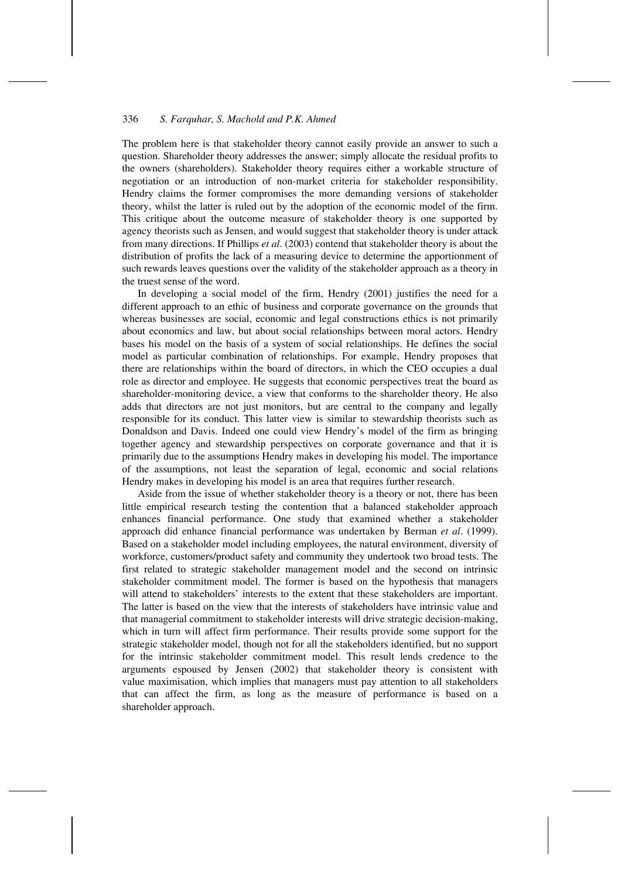The problem here is that stakeholder theory cannot easily provide an answer to such a question. Shareholder theory addresses the answer; simply allocate the residual profits to the owners (shareholders). Stakeholder theory requires either a workable structure of negotiation or an introduction of non-market criteria for stakeholder responsibility. Hendry claims the former compromises the more demanding versions of stakeholder theory, whilst the latter is ruled out by the adoption of the economic model of the firm. This critique about the outcome measure of stakeholder theory is one supported by agency theorists such as Jensen, and would suggest that stakeholder theory is under attack from many directions. If Phillips *et al*. (2003) contend that stakeholder theory is about the distribution of profits the lack of a measuring device to determine the apportionment of such rewards leaves questions over the validity of the stakeholder approach as a theory in the truest sense of the word.

In developing a social model of the firm, Hendry (2001) justifies the need for a different approach to an ethic of business and corporate governance on the grounds that whereas businesses are social, economic and legal constructions ethics is not primarily about economics and law, but about social relationships between moral actors. Hendry bases his model on the basis of a system of social relationships. He defines the social model as particular combination of relationships. For example, Hendry proposes that there are relationships within the board of directors, in which the CEO occupies a dual role as director and employee. He suggests that economic perspectives treat the board as shareholder-monitoring device, a view that conforms to the shareholder theory. He also adds that directors are not just monitors, but are central to the company and legally responsible for its conduct. This latter view is similar to stewardship theorists such as Donaldson and Davis. Indeed one could view Hendry's model of the firm as bringing together agency and stewardship perspectives on corporate governance and that it is primarily due to the assumptions Hendry makes in developing his model. The importance of the assumptions, not least the separation of legal, economic and social relations Hendry makes in developing his model is an area that requires further research.

Aside from the issue of whether stakeholder theory is a theory or not, there has been little empirical research testing the contention that a balanced stakeholder approach enhances financial performance. One study that examined whether a stakeholder approach did enhance financial performance was undertaken by Berman *et al*. (1999). Based on a stakeholder model including employees, the natural environment, diversity of workforce, customers/product safety and community they undertook two broad tests. The first related to strategic stakeholder management model and the second on intrinsic stakeholder commitment model. The former is based on the hypothesis that managers will attend to stakeholders' interests to the extent that these stakeholders are important. The latter is based on the view that the interests of stakeholders have intrinsic value and that managerial commitment to stakeholder interests will drive strategic decision-making, which in turn will affect firm performance. Their results provide some support for the strategic stakeholder model, though not for all the stakeholders identified, but no support for the intrinsic stakeholder commitment model. This result lends credence to the arguments espoused by Jensen (2002) that stakeholder theory is consistent with value maximisation, which implies that managers must pay attention to all stakeholders that can affect the firm, as long as the measure of performance is based on a shareholder approach.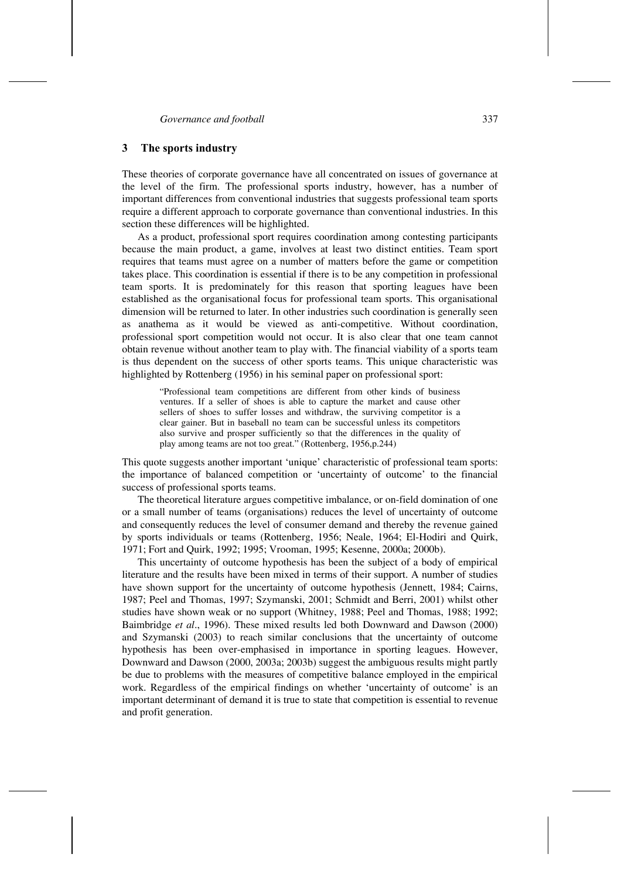### **3 The sports industry**

These theories of corporate governance have all concentrated on issues of governance at the level of the firm. The professional sports industry, however, has a number of important differences from conventional industries that suggests professional team sports require a different approach to corporate governance than conventional industries. In this section these differences will be highlighted.

As a product, professional sport requires coordination among contesting participants because the main product, a game, involves at least two distinct entities. Team sport requires that teams must agree on a number of matters before the game or competition takes place. This coordination is essential if there is to be any competition in professional team sports. It is predominately for this reason that sporting leagues have been established as the organisational focus for professional team sports. This organisational dimension will be returned to later. In other industries such coordination is generally seen as anathema as it would be viewed as anti-competitive. Without coordination, professional sport competition would not occur. It is also clear that one team cannot obtain revenue without another team to play with. The financial viability of a sports team is thus dependent on the success of other sports teams. This unique characteristic was highlighted by Rottenberg (1956) in his seminal paper on professional sport:

"Professional team competitions are different from other kinds of business ventures. If a seller of shoes is able to capture the market and cause other sellers of shoes to suffer losses and withdraw, the surviving competitor is a clear gainer. But in baseball no team can be successful unless its competitors also survive and prosper sufficiently so that the differences in the quality of play among teams are not too great." (Rottenberg, 1956,p.244)

This quote suggests another important 'unique' characteristic of professional team sports: the importance of balanced competition or 'uncertainty of outcome' to the financial success of professional sports teams.

The theoretical literature argues competitive imbalance, or on-field domination of one or a small number of teams (organisations) reduces the level of uncertainty of outcome and consequently reduces the level of consumer demand and thereby the revenue gained by sports individuals or teams (Rottenberg, 1956; Neale, 1964; El-Hodiri and Quirk, 1971; Fort and Quirk, 1992; 1995; Vrooman, 1995; Kesenne, 2000a; 2000b).

This uncertainty of outcome hypothesis has been the subject of a body of empirical literature and the results have been mixed in terms of their support. A number of studies have shown support for the uncertainty of outcome hypothesis (Jennett, 1984; Cairns, 1987; Peel and Thomas, 1997; Szymanski, 2001; Schmidt and Berri, 2001) whilst other studies have shown weak or no support (Whitney, 1988; Peel and Thomas, 1988; 1992; Baimbridge *et al*., 1996). These mixed results led both Downward and Dawson (2000) and Szymanski (2003) to reach similar conclusions that the uncertainty of outcome hypothesis has been over-emphasised in importance in sporting leagues. However, Downward and Dawson (2000, 2003a; 2003b) suggest the ambiguous results might partly be due to problems with the measures of competitive balance employed in the empirical work. Regardless of the empirical findings on whether 'uncertainty of outcome' is an important determinant of demand it is true to state that competition is essential to revenue and profit generation.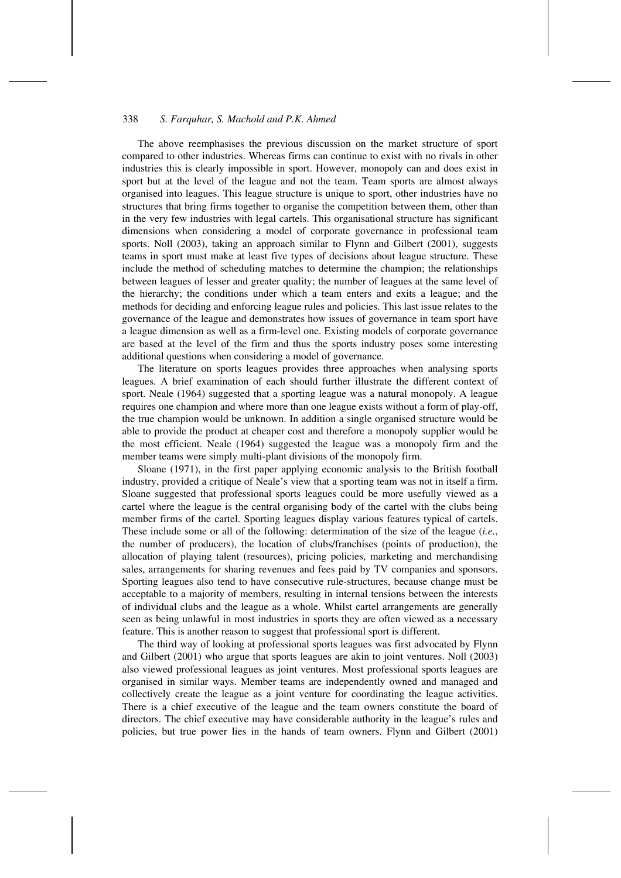The above reemphasises the previous discussion on the market structure of sport compared to other industries. Whereas firms can continue to exist with no rivals in other industries this is clearly impossible in sport. However, monopoly can and does exist in sport but at the level of the league and not the team. Team sports are almost always organised into leagues. This league structure is unique to sport, other industries have no structures that bring firms together to organise the competition between them, other than in the very few industries with legal cartels. This organisational structure has significant dimensions when considering a model of corporate governance in professional team sports. Noll (2003), taking an approach similar to Flynn and Gilbert (2001), suggests teams in sport must make at least five types of decisions about league structure. These include the method of scheduling matches to determine the champion; the relationships between leagues of lesser and greater quality; the number of leagues at the same level of the hierarchy; the conditions under which a team enters and exits a league; and the methods for deciding and enforcing league rules and policies. This last issue relates to the governance of the league and demonstrates how issues of governance in team sport have a league dimension as well as a firm-level one. Existing models of corporate governance are based at the level of the firm and thus the sports industry poses some interesting additional questions when considering a model of governance.

The literature on sports leagues provides three approaches when analysing sports leagues. A brief examination of each should further illustrate the different context of sport. Neale (1964) suggested that a sporting league was a natural monopoly. A league requires one champion and where more than one league exists without a form of play-off, the true champion would be unknown. In addition a single organised structure would be able to provide the product at cheaper cost and therefore a monopoly supplier would be the most efficient. Neale (1964) suggested the league was a monopoly firm and the member teams were simply multi-plant divisions of the monopoly firm.

Sloane (1971), in the first paper applying economic analysis to the British football industry, provided a critique of Neale's view that a sporting team was not in itself a firm. Sloane suggested that professional sports leagues could be more usefully viewed as a cartel where the league is the central organising body of the cartel with the clubs being member firms of the cartel. Sporting leagues display various features typical of cartels. These include some or all of the following: determination of the size of the league (*i.e.*, the number of producers), the location of clubs/franchises (points of production), the allocation of playing talent (resources), pricing policies, marketing and merchandising sales, arrangements for sharing revenues and fees paid by TV companies and sponsors. Sporting leagues also tend to have consecutive rule-structures, because change must be acceptable to a majority of members, resulting in internal tensions between the interests of individual clubs and the league as a whole. Whilst cartel arrangements are generally seen as being unlawful in most industries in sports they are often viewed as a necessary feature. This is another reason to suggest that professional sport is different.

The third way of looking at professional sports leagues was first advocated by Flynn and Gilbert (2001) who argue that sports leagues are akin to joint ventures. Noll (2003) also viewed professional leagues as joint ventures. Most professional sports leagues are organised in similar ways. Member teams are independently owned and managed and collectively create the league as a joint venture for coordinating the league activities. There is a chief executive of the league and the team owners constitute the board of directors. The chief executive may have considerable authority in the league's rules and policies, but true power lies in the hands of team owners. Flynn and Gilbert (2001)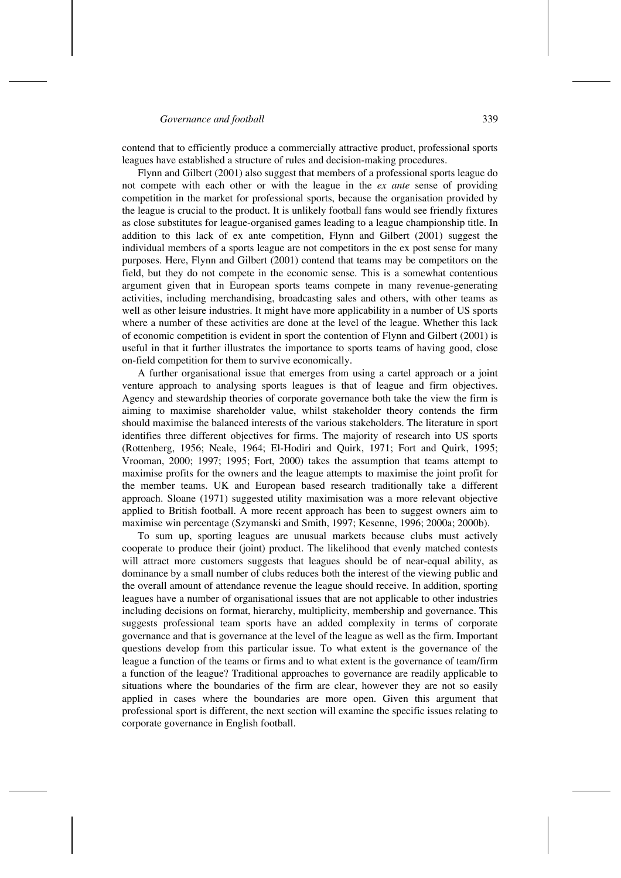contend that to efficiently produce a commercially attractive product, professional sports leagues have established a structure of rules and decision-making procedures.

Flynn and Gilbert (2001) also suggest that members of a professional sports league do not compete with each other or with the league in the *ex ante* sense of providing competition in the market for professional sports, because the organisation provided by the league is crucial to the product. It is unlikely football fans would see friendly fixtures as close substitutes for league-organised games leading to a league championship title. In addition to this lack of ex ante competition, Flynn and Gilbert (2001) suggest the individual members of a sports league are not competitors in the ex post sense for many purposes. Here, Flynn and Gilbert (2001) contend that teams may be competitors on the field, but they do not compete in the economic sense. This is a somewhat contentious argument given that in European sports teams compete in many revenue-generating activities, including merchandising, broadcasting sales and others, with other teams as well as other leisure industries. It might have more applicability in a number of US sports where a number of these activities are done at the level of the league. Whether this lack of economic competition is evident in sport the contention of Flynn and Gilbert (2001) is useful in that it further illustrates the importance to sports teams of having good, close on-field competition for them to survive economically.

A further organisational issue that emerges from using a cartel approach or a joint venture approach to analysing sports leagues is that of league and firm objectives. Agency and stewardship theories of corporate governance both take the view the firm is aiming to maximise shareholder value, whilst stakeholder theory contends the firm should maximise the balanced interests of the various stakeholders. The literature in sport identifies three different objectives for firms. The majority of research into US sports (Rottenberg, 1956; Neale, 1964; El-Hodiri and Quirk, 1971; Fort and Quirk, 1995; Vrooman, 2000; 1997; 1995; Fort, 2000) takes the assumption that teams attempt to maximise profits for the owners and the league attempts to maximise the joint profit for the member teams. UK and European based research traditionally take a different approach. Sloane (1971) suggested utility maximisation was a more relevant objective applied to British football. A more recent approach has been to suggest owners aim to maximise win percentage (Szymanski and Smith, 1997; Kesenne, 1996; 2000a; 2000b).

To sum up, sporting leagues are unusual markets because clubs must actively cooperate to produce their (joint) product. The likelihood that evenly matched contests will attract more customers suggests that leagues should be of near-equal ability, as dominance by a small number of clubs reduces both the interest of the viewing public and the overall amount of attendance revenue the league should receive. In addition, sporting leagues have a number of organisational issues that are not applicable to other industries including decisions on format, hierarchy, multiplicity, membership and governance. This suggests professional team sports have an added complexity in terms of corporate governance and that is governance at the level of the league as well as the firm. Important questions develop from this particular issue. To what extent is the governance of the league a function of the teams or firms and to what extent is the governance of team/firm a function of the league? Traditional approaches to governance are readily applicable to situations where the boundaries of the firm are clear, however they are not so easily applied in cases where the boundaries are more open. Given this argument that professional sport is different, the next section will examine the specific issues relating to corporate governance in English football.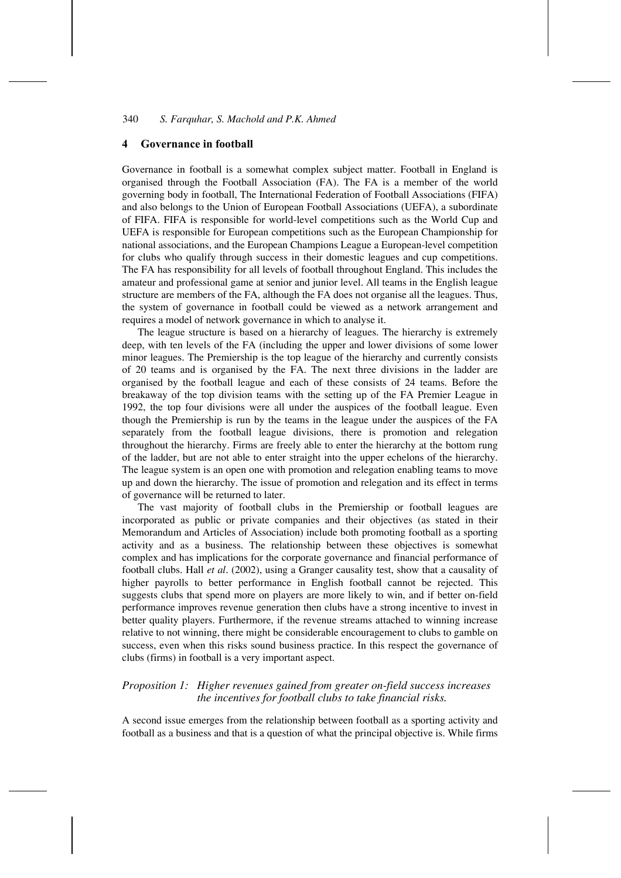### **4 Governance in football**

Governance in football is a somewhat complex subject matter. Football in England is organised through the Football Association (FA). The FA is a member of the world governing body in football, The International Federation of Football Associations (FIFA) and also belongs to the Union of European Football Associations (UEFA), a subordinate of FIFA. FIFA is responsible for world-level competitions such as the World Cup and UEFA is responsible for European competitions such as the European Championship for national associations, and the European Champions League a European-level competition for clubs who qualify through success in their domestic leagues and cup competitions. The FA has responsibility for all levels of football throughout England. This includes the amateur and professional game at senior and junior level. All teams in the English league structure are members of the FA, although the FA does not organise all the leagues. Thus, the system of governance in football could be viewed as a network arrangement and requires a model of network governance in which to analyse it.

The league structure is based on a hierarchy of leagues. The hierarchy is extremely deep, with ten levels of the FA (including the upper and lower divisions of some lower minor leagues. The Premiership is the top league of the hierarchy and currently consists of 20 teams and is organised by the FA. The next three divisions in the ladder are organised by the football league and each of these consists of 24 teams. Before the breakaway of the top division teams with the setting up of the FA Premier League in 1992, the top four divisions were all under the auspices of the football league. Even though the Premiership is run by the teams in the league under the auspices of the FA separately from the football league divisions, there is promotion and relegation throughout the hierarchy. Firms are freely able to enter the hierarchy at the bottom rung of the ladder, but are not able to enter straight into the upper echelons of the hierarchy. The league system is an open one with promotion and relegation enabling teams to move up and down the hierarchy. The issue of promotion and relegation and its effect in terms of governance will be returned to later.

The vast majority of football clubs in the Premiership or football leagues are incorporated as public or private companies and their objectives (as stated in their Memorandum and Articles of Association) include both promoting football as a sporting activity and as a business. The relationship between these objectives is somewhat complex and has implications for the corporate governance and financial performance of football clubs. Hall *et al*. (2002), using a Granger causality test, show that a causality of higher payrolls to better performance in English football cannot be rejected. This suggests clubs that spend more on players are more likely to win, and if better on-field performance improves revenue generation then clubs have a strong incentive to invest in better quality players. Furthermore, if the revenue streams attached to winning increase relative to not winning, there might be considerable encouragement to clubs to gamble on success, even when this risks sound business practice. In this respect the governance of clubs (firms) in football is a very important aspect.

# *Proposition 1: Higher revenues gained from greater on-field success increases the incentives for football clubs to take financial risks.*

A second issue emerges from the relationship between football as a sporting activity and football as a business and that is a question of what the principal objective is. While firms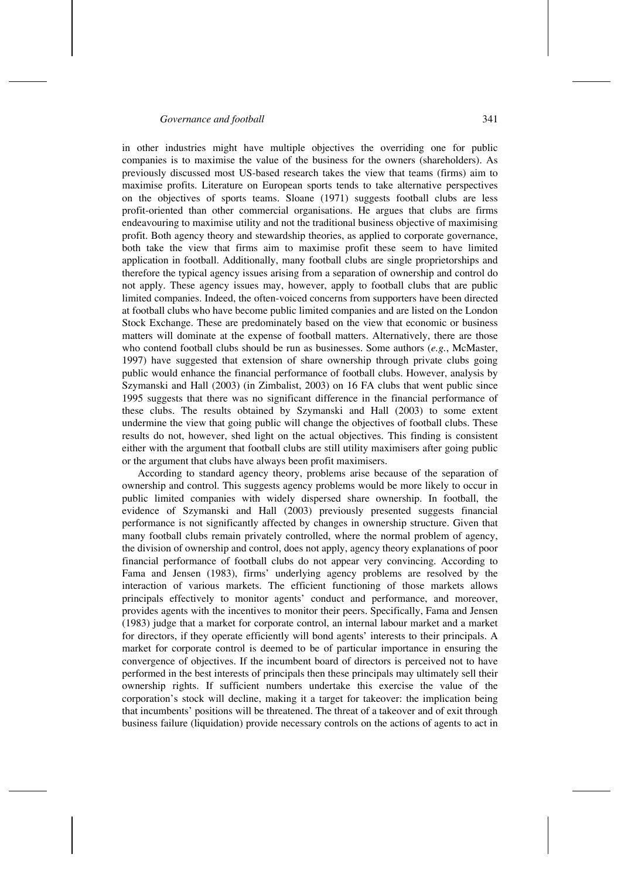in other industries might have multiple objectives the overriding one for public companies is to maximise the value of the business for the owners (shareholders). As previously discussed most US-based research takes the view that teams (firms) aim to maximise profits. Literature on European sports tends to take alternative perspectives on the objectives of sports teams. Sloane (1971) suggests football clubs are less profit-oriented than other commercial organisations. He argues that clubs are firms endeavouring to maximise utility and not the traditional business objective of maximising profit. Both agency theory and stewardship theories, as applied to corporate governance, both take the view that firms aim to maximise profit these seem to have limited application in football. Additionally, many football clubs are single proprietorships and therefore the typical agency issues arising from a separation of ownership and control do not apply. These agency issues may, however, apply to football clubs that are public limited companies. Indeed, the often-voiced concerns from supporters have been directed at football clubs who have become public limited companies and are listed on the London Stock Exchange. These are predominately based on the view that economic or business matters will dominate at the expense of football matters. Alternatively, there are those who contend football clubs should be run as businesses. Some authors (*e.g.*, McMaster, 1997) have suggested that extension of share ownership through private clubs going public would enhance the financial performance of football clubs. However, analysis by Szymanski and Hall (2003) (in Zimbalist, 2003) on 16 FA clubs that went public since 1995 suggests that there was no significant difference in the financial performance of these clubs. The results obtained by Szymanski and Hall (2003) to some extent undermine the view that going public will change the objectives of football clubs. These results do not, however, shed light on the actual objectives. This finding is consistent either with the argument that football clubs are still utility maximisers after going public or the argument that clubs have always been profit maximisers.

According to standard agency theory, problems arise because of the separation of ownership and control. This suggests agency problems would be more likely to occur in public limited companies with widely dispersed share ownership. In football, the evidence of Szymanski and Hall (2003) previously presented suggests financial performance is not significantly affected by changes in ownership structure. Given that many football clubs remain privately controlled, where the normal problem of agency, the division of ownership and control, does not apply, agency theory explanations of poor financial performance of football clubs do not appear very convincing. According to Fama and Jensen (1983), firms' underlying agency problems are resolved by the interaction of various markets. The efficient functioning of those markets allows principals effectively to monitor agents' conduct and performance, and moreover, provides agents with the incentives to monitor their peers. Specifically, Fama and Jensen (1983) judge that a market for corporate control, an internal labour market and a market for directors, if they operate efficiently will bond agents' interests to their principals. A market for corporate control is deemed to be of particular importance in ensuring the convergence of objectives. If the incumbent board of directors is perceived not to have performed in the best interests of principals then these principals may ultimately sell their ownership rights. If sufficient numbers undertake this exercise the value of the corporation's stock will decline, making it a target for takeover: the implication being that incumbents' positions will be threatened. The threat of a takeover and of exit through business failure (liquidation) provide necessary controls on the actions of agents to act in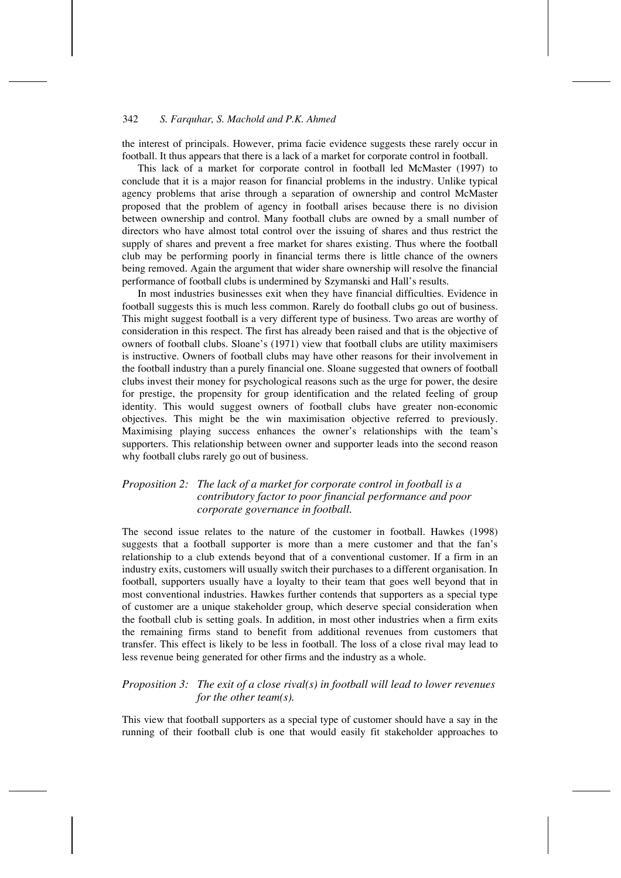the interest of principals. However, prima facie evidence suggests these rarely occur in football. It thus appears that there is a lack of a market for corporate control in football.

This lack of a market for corporate control in football led McMaster (1997) to conclude that it is a major reason for financial problems in the industry. Unlike typical agency problems that arise through a separation of ownership and control McMaster proposed that the problem of agency in football arises because there is no division between ownership and control. Many football clubs are owned by a small number of directors who have almost total control over the issuing of shares and thus restrict the supply of shares and prevent a free market for shares existing. Thus where the football club may be performing poorly in financial terms there is little chance of the owners being removed. Again the argument that wider share ownership will resolve the financial performance of football clubs is undermined by Szymanski and Hall's results.

In most industries businesses exit when they have financial difficulties. Evidence in football suggests this is much less common. Rarely do football clubs go out of business. This might suggest football is a very different type of business. Two areas are worthy of consideration in this respect. The first has already been raised and that is the objective of owners of football clubs. Sloane's (1971) view that football clubs are utility maximisers is instructive. Owners of football clubs may have other reasons for their involvement in the football industry than a purely financial one. Sloane suggested that owners of football clubs invest their money for psychological reasons such as the urge for power, the desire for prestige, the propensity for group identification and the related feeling of group identity. This would suggest owners of football clubs have greater non-economic objectives. This might be the win maximisation objective referred to previously. Maximising playing success enhances the owner's relationships with the team's supporters. This relationship between owner and supporter leads into the second reason why football clubs rarely go out of business.

# *Proposition 2: The lack of a market for corporate control in football is a contributory factor to poor financial performance and poor corporate governance in football.*

The second issue relates to the nature of the customer in football. Hawkes (1998) suggests that a football supporter is more than a mere customer and that the fan's relationship to a club extends beyond that of a conventional customer. If a firm in an industry exits, customers will usually switch their purchases to a different organisation. In football, supporters usually have a loyalty to their team that goes well beyond that in most conventional industries. Hawkes further contends that supporters as a special type of customer are a unique stakeholder group, which deserve special consideration when the football club is setting goals. In addition, in most other industries when a firm exits the remaining firms stand to benefit from additional revenues from customers that transfer. This effect is likely to be less in football. The loss of a close rival may lead to less revenue being generated for other firms and the industry as a whole.

# *Proposition 3: The exit of a close rival(s) in football will lead to lower revenues for the other team(s).*

This view that football supporters as a special type of customer should have a say in the running of their football club is one that would easily fit stakeholder approaches to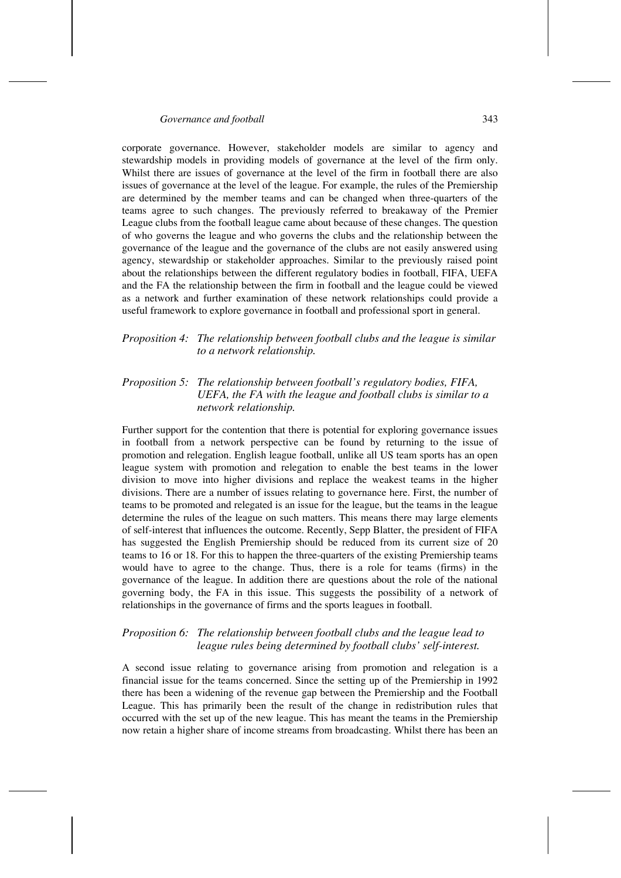corporate governance. However, stakeholder models are similar to agency and stewardship models in providing models of governance at the level of the firm only. Whilst there are issues of governance at the level of the firm in football there are also issues of governance at the level of the league. For example, the rules of the Premiership are determined by the member teams and can be changed when three-quarters of the teams agree to such changes. The previously referred to breakaway of the Premier League clubs from the football league came about because of these changes. The question of who governs the league and who governs the clubs and the relationship between the governance of the league and the governance of the clubs are not easily answered using agency, stewardship or stakeholder approaches. Similar to the previously raised point about the relationships between the different regulatory bodies in football, FIFA, UEFA and the FA the relationship between the firm in football and the league could be viewed as a network and further examination of these network relationships could provide a useful framework to explore governance in football and professional sport in general.

# *Proposition 4: The relationship between football clubs and the league is similar to a network relationship.*

## *Proposition 5: The relationship between football's regulatory bodies, FIFA, UEFA, the FA with the league and football clubs is similar to a network relationship.*

Further support for the contention that there is potential for exploring governance issues in football from a network perspective can be found by returning to the issue of promotion and relegation. English league football, unlike all US team sports has an open league system with promotion and relegation to enable the best teams in the lower division to move into higher divisions and replace the weakest teams in the higher divisions. There are a number of issues relating to governance here. First, the number of teams to be promoted and relegated is an issue for the league, but the teams in the league determine the rules of the league on such matters. This means there may large elements of self-interest that influences the outcome. Recently, Sepp Blatter, the president of FIFA has suggested the English Premiership should be reduced from its current size of 20 teams to 16 or 18. For this to happen the three-quarters of the existing Premiership teams would have to agree to the change. Thus, there is a role for teams (firms) in the governance of the league. In addition there are questions about the role of the national governing body, the FA in this issue. This suggests the possibility of a network of relationships in the governance of firms and the sports leagues in football.

# *Proposition 6: The relationship between football clubs and the league lead to league rules being determined by football clubs' self-interest.*

A second issue relating to governance arising from promotion and relegation is a financial issue for the teams concerned. Since the setting up of the Premiership in 1992 there has been a widening of the revenue gap between the Premiership and the Football League. This has primarily been the result of the change in redistribution rules that occurred with the set up of the new league. This has meant the teams in the Premiership now retain a higher share of income streams from broadcasting. Whilst there has been an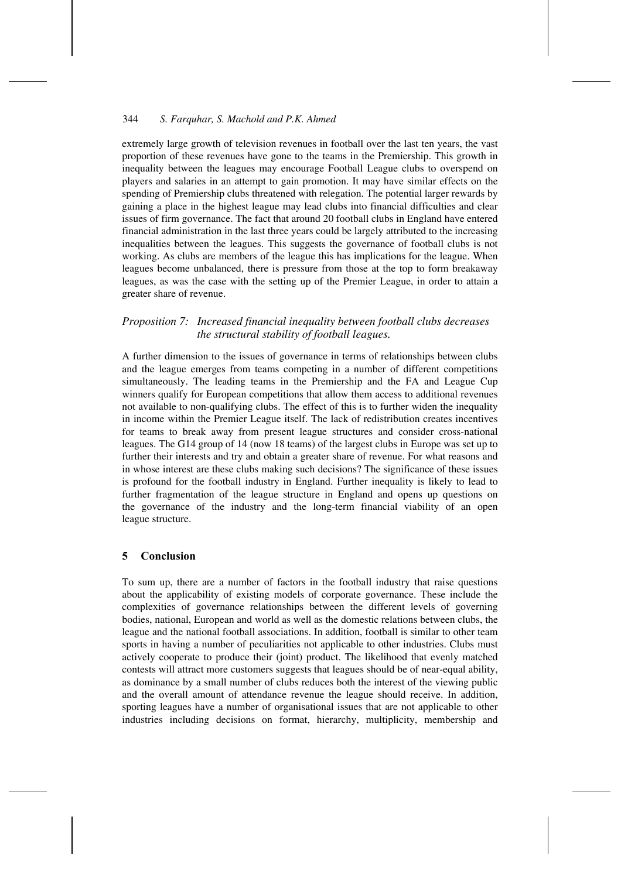extremely large growth of television revenues in football over the last ten years, the vast proportion of these revenues have gone to the teams in the Premiership. This growth in inequality between the leagues may encourage Football League clubs to overspend on players and salaries in an attempt to gain promotion. It may have similar effects on the spending of Premiership clubs threatened with relegation. The potential larger rewards by gaining a place in the highest league may lead clubs into financial difficulties and clear issues of firm governance. The fact that around 20 football clubs in England have entered financial administration in the last three years could be largely attributed to the increasing inequalities between the leagues. This suggests the governance of football clubs is not working. As clubs are members of the league this has implications for the league. When leagues become unbalanced, there is pressure from those at the top to form breakaway leagues, as was the case with the setting up of the Premier League, in order to attain a greater share of revenue.

# *Proposition 7: Increased financial inequality between football clubs decreases the structural stability of football leagues.*

A further dimension to the issues of governance in terms of relationships between clubs and the league emerges from teams competing in a number of different competitions simultaneously. The leading teams in the Premiership and the FA and League Cup winners qualify for European competitions that allow them access to additional revenues not available to non-qualifying clubs. The effect of this is to further widen the inequality in income within the Premier League itself. The lack of redistribution creates incentives for teams to break away from present league structures and consider cross-national leagues. The G14 group of 14 (now 18 teams) of the largest clubs in Europe was set up to further their interests and try and obtain a greater share of revenue. For what reasons and in whose interest are these clubs making such decisions? The significance of these issues is profound for the football industry in England. Further inequality is likely to lead to further fragmentation of the league structure in England and opens up questions on the governance of the industry and the long-term financial viability of an open league structure.

# **5 Conclusion**

To sum up, there are a number of factors in the football industry that raise questions about the applicability of existing models of corporate governance. These include the complexities of governance relationships between the different levels of governing bodies, national, European and world as well as the domestic relations between clubs, the league and the national football associations. In addition, football is similar to other team sports in having a number of peculiarities not applicable to other industries. Clubs must actively cooperate to produce their (joint) product. The likelihood that evenly matched contests will attract more customers suggests that leagues should be of near-equal ability, as dominance by a small number of clubs reduces both the interest of the viewing public and the overall amount of attendance revenue the league should receive. In addition, sporting leagues have a number of organisational issues that are not applicable to other industries including decisions on format, hierarchy, multiplicity, membership and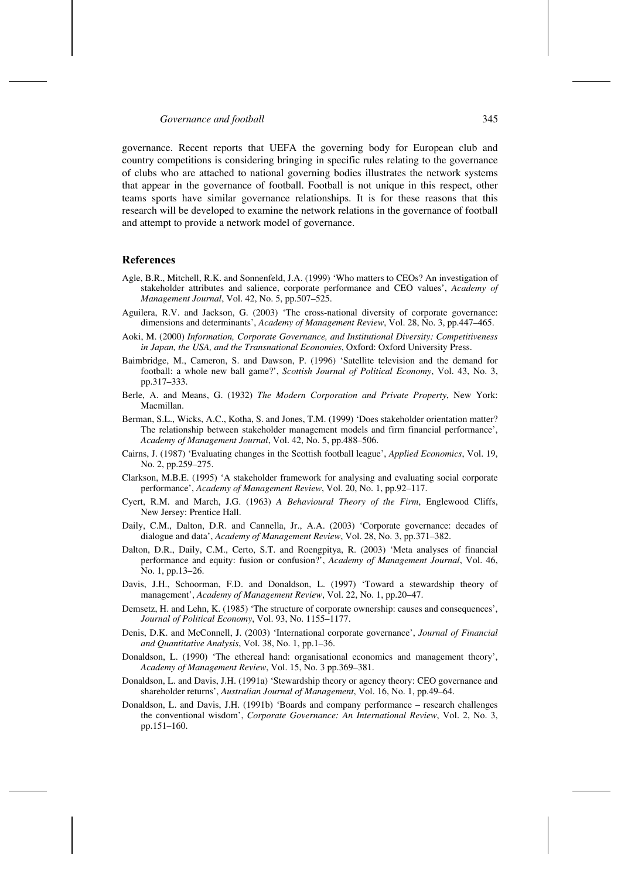governance. Recent reports that UEFA the governing body for European club and country competitions is considering bringing in specific rules relating to the governance of clubs who are attached to national governing bodies illustrates the network systems that appear in the governance of football. Football is not unique in this respect, other teams sports have similar governance relationships. It is for these reasons that this research will be developed to examine the network relations in the governance of football and attempt to provide a network model of governance.

### **References**

- Agle, B.R., Mitchell, R.K. and Sonnenfeld, J.A. (1999) 'Who matters to CEOs? An investigation of stakeholder attributes and salience, corporate performance and CEO values', *Academy of Management Journal*, Vol. 42, No. 5, pp.507–525.
- Aguilera, R.V. and Jackson, G. (2003) 'The cross-national diversity of corporate governance: dimensions and determinants', *Academy of Management Review*, Vol. 28, No. 3, pp.447–465.
- Aoki, M. (2000) *Information, Corporate Governance, and Institutional Diversity: Competitiveness in Japan, the USA, and the Transnational Economies*, Oxford: Oxford University Press.
- Baimbridge, M., Cameron, S. and Dawson, P. (1996) 'Satellite television and the demand for football: a whole new ball game?', *Scottish Journal of Political Economy*, Vol. 43, No. 3, pp.317–333.
- Berle, A. and Means, G. (1932) *The Modern Corporation and Private Property*, New York: Macmillan.
- Berman, S.L., Wicks, A.C., Kotha, S. and Jones, T.M. (1999) 'Does stakeholder orientation matter? The relationship between stakeholder management models and firm financial performance', *Academy of Management Journal*, Vol. 42, No. 5, pp.488–506.
- Cairns, J. (1987) 'Evaluating changes in the Scottish football league', *Applied Economics*, Vol. 19, No. 2, pp.259–275.
- Clarkson, M.B.E. (1995) 'A stakeholder framework for analysing and evaluating social corporate performance', *Academy of Management Review*, Vol. 20, No. 1, pp.92–117.
- Cyert, R.M. and March, J.G. (1963) *A Behavioural Theory of the Firm*, Englewood Cliffs, New Jersey: Prentice Hall.
- Daily, C.M., Dalton, D.R. and Cannella, Jr., A.A. (2003) 'Corporate governance: decades of dialogue and data', *Academy of Management Review*, Vol. 28, No. 3, pp.371–382.
- Dalton, D.R., Daily, C.M., Certo, S.T. and Roengpitya, R. (2003) 'Meta analyses of financial performance and equity: fusion or confusion?', *Academy of Management Journal*, Vol. 46, No. 1, pp.13–26.
- Davis, J.H., Schoorman, F.D. and Donaldson, L. (1997) 'Toward a stewardship theory of management', *Academy of Management Review*, Vol. 22, No. 1, pp.20–47.
- Demsetz, H. and Lehn, K. (1985) 'The structure of corporate ownership: causes and consequences', *Journal of Political Economy*, Vol. 93, No. 1155–1177.
- Denis, D.K. and McConnell, J. (2003) 'International corporate governance', *Journal of Financial and Quantitative Analysis*, Vol. 38, No. 1, pp.1–36.
- Donaldson, L. (1990) 'The ethereal hand: organisational economics and management theory', *Academy of Management Review*, Vol. 15, No. 3 pp.369–381.
- Donaldson, L. and Davis, J.H. (1991a) 'Stewardship theory or agency theory: CEO governance and shareholder returns', *Australian Journal of Management*, Vol. 16, No. 1, pp.49–64.
- Donaldson, L. and Davis, J.H. (1991b) 'Boards and company performance research challenges the conventional wisdom', *Corporate Governance: An International Review*, Vol. 2, No. 3, pp.151–160.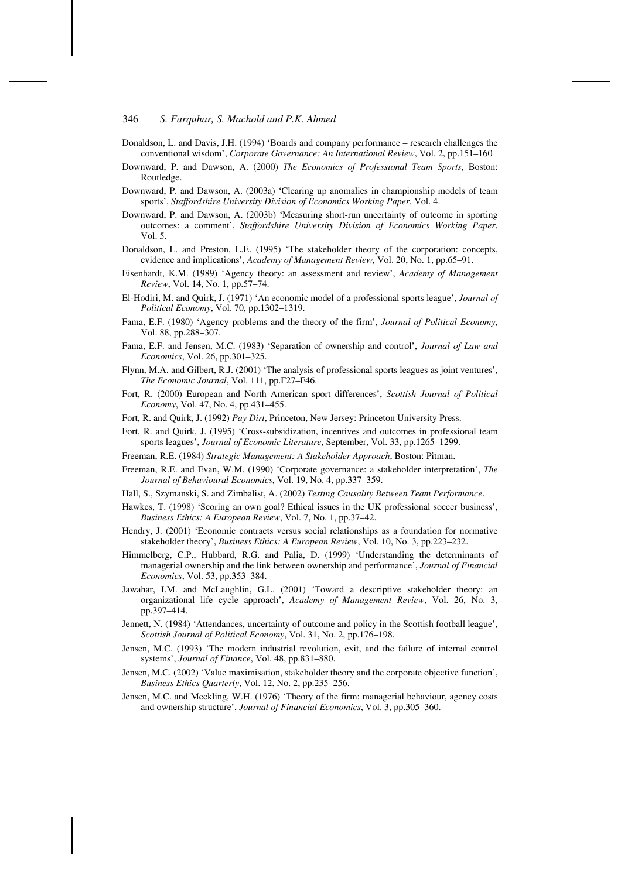- Donaldson, L. and Davis, J.H. (1994) 'Boards and company performance research challenges the conventional wisdom', *Corporate Governance: An International Review*, Vol. 2, pp.151–160
- Downward, P. and Dawson, A. (2000) *The Economics of Professional Team Sports*, Boston: Routledge.
- Downward, P. and Dawson, A. (2003a) 'Clearing up anomalies in championship models of team sports', *Staffordshire University Division of Economics Working Paper*, Vol. 4.
- Downward, P. and Dawson, A. (2003b) 'Measuring short-run uncertainty of outcome in sporting outcomes: a comment', *Staffordshire University Division of Economics Working Paper*, Vol. 5.
- Donaldson, L. and Preston, L.E. (1995) 'The stakeholder theory of the corporation: concepts, evidence and implications', *Academy of Management Review*, Vol. 20, No. 1, pp.65–91.
- Eisenhardt, K.M. (1989) 'Agency theory: an assessment and review', *Academy of Management Review*, Vol. 14, No. 1, pp.57–74.
- El-Hodiri, M. and Quirk, J. (1971) 'An economic model of a professional sports league', *Journal of Political Economy*, Vol. 70, pp.1302–1319.
- Fama, E.F. (1980) 'Agency problems and the theory of the firm', *Journal of Political Economy*, Vol. 88, pp.288–307.
- Fama, E.F. and Jensen, M.C. (1983) 'Separation of ownership and control', *Journal of Law and Economics*, Vol. 26, pp.301–325.
- Flynn, M.A. and Gilbert, R.J. (2001) 'The analysis of professional sports leagues as joint ventures', *The Economic Journal*, Vol. 111, pp.F27–F46.
- Fort, R. (2000) European and North American sport differences', *Scottish Journal of Political Economy*, Vol. 47, No. 4, pp.431–455.
- Fort, R. and Quirk, J. (1992) *Pay Dirt*, Princeton, New Jersey: Princeton University Press.
- Fort, R. and Quirk, J. (1995) 'Cross-subsidization, incentives and outcomes in professional team sports leagues', *Journal of Economic Literature*, September, Vol. 33, pp.1265–1299.
- Freeman, R.E. (1984) *Strategic Management: A Stakeholder Approach*, Boston: Pitman.
- Freeman, R.E. and Evan, W.M. (1990) 'Corporate governance: a stakeholder interpretation', *The Journal of Behavioural Economics*, Vol. 19, No. 4, pp.337–359.
- Hall, S., Szymanski, S. and Zimbalist, A. (2002) *Testing Causality Between Team Performance*.
- Hawkes, T. (1998) 'Scoring an own goal? Ethical issues in the UK professional soccer business', *Business Ethics: A European Review*, Vol. 7, No. 1, pp.37–42.
- Hendry, J. (2001) 'Economic contracts versus social relationships as a foundation for normative stakeholder theory', *Business Ethics: A European Review*, Vol. 10, No. 3, pp.223–232.
- Himmelberg, C.P., Hubbard, R.G. and Palia, D. (1999) 'Understanding the determinants of managerial ownership and the link between ownership and performance', *Journal of Financial Economics*, Vol. 53, pp.353–384.
- Jawahar, I.M. and McLaughlin, G.L. (2001) 'Toward a descriptive stakeholder theory: an organizational life cycle approach', *Academy of Management Review*, Vol. 26, No. 3, pp.397–414.
- Jennett, N. (1984) 'Attendances, uncertainty of outcome and policy in the Scottish football league', *Scottish Journal of Political Economy*, Vol. 31, No. 2, pp.176–198.
- Jensen, M.C. (1993) 'The modern industrial revolution, exit, and the failure of internal control systems', *Journal of Finance*, Vol. 48, pp.831–880.
- Jensen, M.C. (2002) 'Value maximisation, stakeholder theory and the corporate objective function', *Business Ethics Quarterly*, Vol. 12, No. 2, pp.235–256.
- Jensen, M.C. and Meckling, W.H. (1976) 'Theory of the firm: managerial behaviour, agency costs and ownership structure', *Journal of Financial Economics*, Vol. 3, pp.305–360.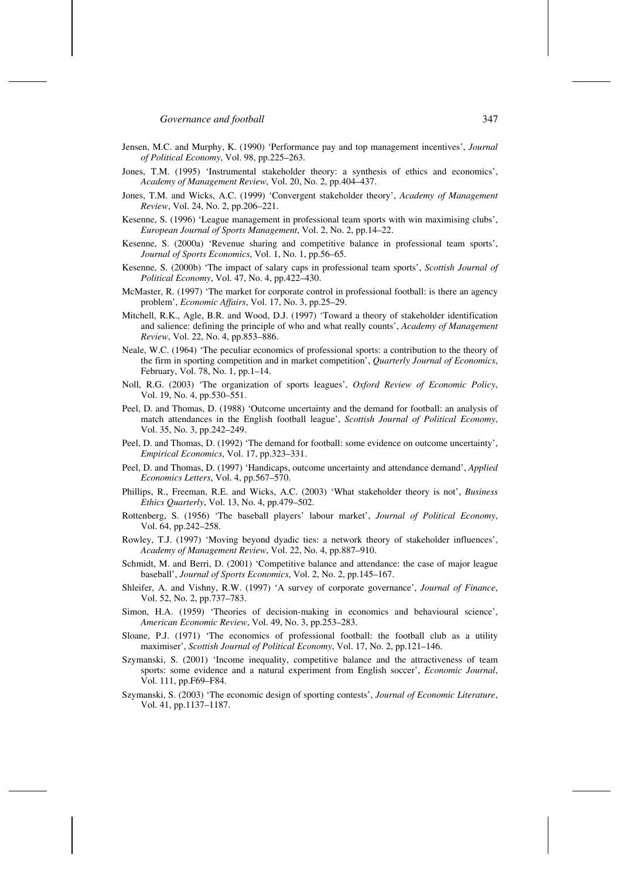- Jensen, M.C. and Murphy, K. (1990) 'Performance pay and top management incentives', *Journal of Political Economy*, Vol. 98, pp.225–263.
- Jones, T.M. (1995) 'Instrumental stakeholder theory: a synthesis of ethics and economics', *Academy of Management Review*, Vol. 20, No. 2, pp.404–437.
- Jones, T.M. and Wicks, A.C. (1999) 'Convergent stakeholder theory', *Academy of Management Review*, Vol. 24, No. 2, pp.206–221.
- Kesenne, S. (1996) 'League management in professional team sports with win maximising clubs', *European Journal of Sports Management*, Vol. 2, No. 2, pp.14–22.
- Kesenne, S. (2000a) 'Revenue sharing and competitive balance in professional team sports', *Journal of Sports Economics*, Vol. 1, No. 1, pp.56–65.
- Kesenne, S. (2000b) 'The impact of salary caps in professional team sports', *Scottish Journal of Political Economy*, Vol. 47, No. 4, pp.422–430.
- McMaster, R. (1997) 'The market for corporate control in professional football: is there an agency problem', *Economic Affairs*, Vol. 17, No. 3, pp.25–29.
- Mitchell, R.K., Agle, B.R. and Wood, D.J. (1997) 'Toward a theory of stakeholder identification and salience: defining the principle of who and what really counts', *Academy of Management Review*, Vol. 22, No. 4, pp.853–886.
- Neale, W.C. (1964) 'The peculiar economics of professional sports: a contribution to the theory of the firm in sporting competition and in market competition', *Quarterly Journal of Economics*, February, Vol. 78, No. 1, pp.1–14.
- Noll, R.G. (2003) 'The organization of sports leagues', *Oxford Review of Economic Policy*, Vol. 19, No. 4, pp.530–551.
- Peel, D. and Thomas, D. (1988) 'Outcome uncertainty and the demand for football: an analysis of match attendances in the English football league', *Scottish Journal of Political Economy*, Vol. 35, No. 3, pp.242–249.
- Peel, D. and Thomas, D. (1992) 'The demand for football: some evidence on outcome uncertainty', *Empirical Economics*, Vol. 17, pp.323–331.
- Peel, D. and Thomas, D. (1997) 'Handicaps, outcome uncertainty and attendance demand', *Applied Economics Letters*, Vol. 4, pp.567–570.
- Phillips, R., Freeman, R.E. and Wicks, A.C. (2003) 'What stakeholder theory is not', *Business Ethics Quarterly*, Vol. 13, No. 4, pp.479–502.
- Rottenberg, S. (1956) 'The baseball players' labour market', *Journal of Political Economy*, Vol. 64, pp.242–258.
- Rowley, T.J. (1997) 'Moving beyond dyadic ties: a network theory of stakeholder influences', *Academy of Management Review*, Vol. 22, No. 4, pp.887–910.
- Schmidt, M. and Berri, D. (2001) 'Competitive balance and attendance: the case of major league baseball', *Journal of Sports Economics*, Vol. 2, No. 2, pp.145–167.
- Shleifer, A. and Vishny, R.W. (1997) 'A survey of corporate governance', *Journal of Finance*, Vol. 52, No. 2, pp.737–783.
- Simon, H.A. (1959) 'Theories of decision-making in economics and behavioural science', *American Economic Review*, Vol. 49, No. 3, pp.253–283.
- Sloane, P.J. (1971) 'The economics of professional football: the football club as a utility maximiser', *Scottish Journal of Political Economy*, Vol. 17, No. 2, pp.121–146.
- Szymanski, S. (2001) 'Income inequality, competitive balance and the attractiveness of team sports: some evidence and a natural experiment from English soccer', *Economic Journal*, Vol. 111, pp.F69–F84.
- Szymanski, S. (2003) 'The economic design of sporting contests', *Journal of Economic Literature*, Vol. 41, pp.1137–1187.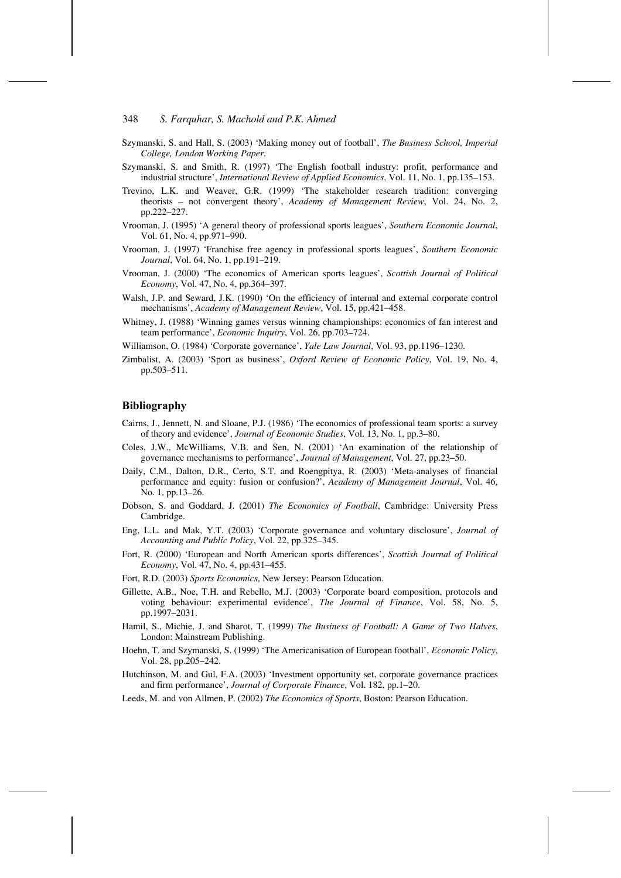- Szymanski, S. and Hall, S. (2003) 'Making money out of football', *The Business School, Imperial College, London Working Paper*.
- Szymanski, S. and Smith, R. (1997) 'The English football industry: profit, performance and industrial structure', *International Review of Applied Economics*, Vol. 11, No. 1, pp.135–153.
- Trevino, L.K. and Weaver, G.R. (1999) 'The stakeholder research tradition: converging theorists – not convergent theory', *Academy of Management Review*, Vol. 24, No. 2, pp.222–227.
- Vrooman, J. (1995) 'A general theory of professional sports leagues', *Southern Economic Journal*, Vol. 61, No. 4, pp.971–990.
- Vrooman, J. (1997) 'Franchise free agency in professional sports leagues', *Southern Economic Journal*, Vol. 64, No. 1, pp.191–219.
- Vrooman, J. (2000) 'The economics of American sports leagues', *Scottish Journal of Political Economy*, Vol. 47, No. 4, pp.364–397.
- Walsh, J.P. and Seward, J.K. (1990) 'On the efficiency of internal and external corporate control mechanisms', *Academy of Management Review*, Vol. 15, pp.421–458.
- Whitney, J. (1988) 'Winning games versus winning championships: economics of fan interest and team performance', *Economic Inquiry*, Vol. 26, pp.703–724.
- Williamson, O. (1984) 'Corporate governance', *Yale Law Journal*, Vol. 93, pp.1196–1230.
- Zimbalist, A. (2003) 'Sport as business', *Oxford Review of Economic Policy*, Vol. 19, No. 4, pp.503–511.

### **Bibliography**

- Cairns, J., Jennett, N. and Sloane, P.J. (1986) 'The economics of professional team sports: a survey of theory and evidence', *Journal of Economic Studies*, Vol. 13, No. 1, pp.3–80.
- Coles, J.W., McWilliams, V.B. and Sen, N. (2001) 'An examination of the relationship of governance mechanisms to performance', *Journal of Management*, Vol. 27, pp.23–50.
- Daily, C.M., Dalton, D.R., Certo, S.T. and Roengpitya, R. (2003) 'Meta-analyses of financial performance and equity: fusion or confusion?', *Academy of Management Journal*, Vol. 46, No. 1, pp.13–26.
- Dobson, S. and Goddard, J. (2001) *The Economics of Football*, Cambridge: University Press Cambridge.
- Eng, L.L. and Mak, Y.T. (2003) 'Corporate governance and voluntary disclosure', *Journal of Accounting and Public Policy*, Vol. 22, pp.325–345.
- Fort, R. (2000) 'European and North American sports differences', *Scottish Journal of Political Economy*, Vol. 47, No. 4, pp.431–455.
- Fort, R.D. (2003) *Sports Economics*, New Jersey: Pearson Education.
- Gillette, A.B., Noe, T.H. and Rebello, M.J. (2003) 'Corporate board composition, protocols and voting behaviour: experimental evidence', *The Journal of Finance*, Vol. 58, No. 5, pp.1997–2031.
- Hamil, S., Michie, J. and Sharot, T. (1999) *The Business of Football: A Game of Two Halves*, London: Mainstream Publishing.
- Hoehn, T. and Szymanski, S. (1999) 'The Americanisation of European football', *Economic Policy*, Vol. 28, pp.205–242.
- Hutchinson, M. and Gul, F.A. (2003) 'Investment opportunity set, corporate governance practices and firm performance', *Journal of Corporate Finance*, Vol. 182, pp.1–20.
- Leeds, M. and von Allmen, P. (2002) *The Economics of Sports*, Boston: Pearson Education.